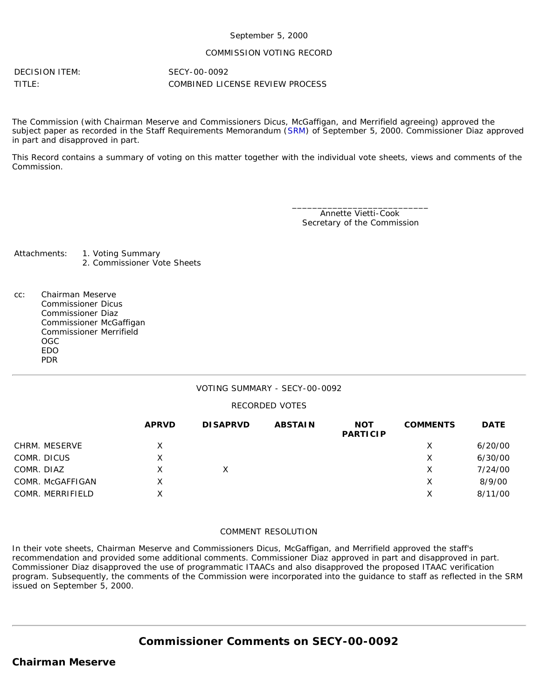#### September 5, 2000

#### COMMISSION VOTING RECORD

DECISION ITEM: SECY-00-0092

TITLE: COMBINED LICENSE REVIEW PROCESS

The Commission (with Chairman Meserve and Commissioners Dicus, McGaffigan, and Merrifield agreeing) approved the subject paper as recorded in the Staff Requirements Memorandum ([SRM](http://www.nrc.gov/reading-rm/doc-collections/commission/srm/2000/2000-0092srm.html)) of September 5, 2000. Commissioner Diaz approved in part and disapproved in part.

This Record contains a summary of voting on this matter together with the individual vote sheets, views and comments of the Commission.

> \_\_\_\_\_\_\_\_\_\_\_\_\_\_\_\_\_\_\_\_\_\_\_\_\_\_\_ Annette Vietti-Cook Secretary of the Commission

Attachments: 1. Voting Summary

2. Commissioner Vote Sheets

cc: Chairman Meserve Commissioner Dicus Commissioner Diaz Commissioner McGaffigan Commissioner Merrifield OGC EDO PDR

### VOTING SUMMARY - SECY-00-0092

#### RECORDED VOTES

|                  | <b>APRVD</b> | <b>DISAPRVD</b> | <b>ABSTAIN</b> | <b>NOT</b><br><b>PARTICIP</b> | <b>COMMENTS</b> | <b>DATE</b> |
|------------------|--------------|-----------------|----------------|-------------------------------|-----------------|-------------|
| CHRM. MESERVE    | X            |                 |                |                               | х               | 6/20/00     |
| COMR. DICUS      | Χ            |                 |                |                               | Х               | 6/30/00     |
| COMR. DIAZ       | x            | X               |                |                               | х               | 7/24/00     |
| COMR. McGAFFIGAN | X            |                 |                |                               | Х               | 8/9/00      |
| COMR. MERRIFIELD | Χ            |                 |                |                               | Х               | 8/11/00     |

#### COMMENT RESOLUTION

In their vote sheets, Chairman Meserve and Commissioners Dicus, McGaffigan, and Merrifield approved the staff's recommendation and provided some additional comments. Commissioner Diaz approved in part and disapproved in part. Commissioner Diaz disapproved the use of programmatic ITAACs and also disapproved the proposed ITAAC verification program. Subsequently, the comments of the Commission were incorporated into the guidance to staff as reflected in the SRM issued on September 5, 2000.

**Commissioner Comments on [SECY-00-0092](http://www.nrc.gov/reading-rm/doc-collections/commission/secys/2000/secy2000-0092/2000-0092scy.html)**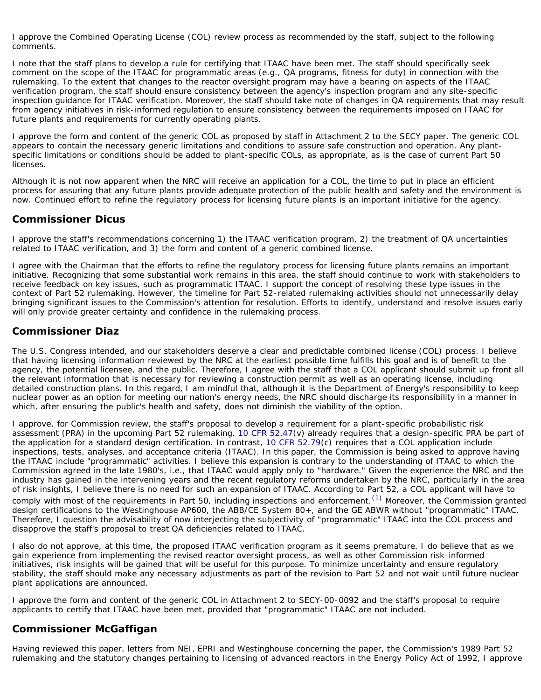I approve the Combined Operating License (COL) review process as recommended by the staff, subject to the following comments.

I note that the staff plans to develop a rule for certifying that ITAAC have been met. The staff should specifically seek comment on the scope of the ITAAC for programmatic areas (e.g., QA programs, fitness for duty) in connection with the rulemaking. To the extent that changes to the reactor oversight program may have a bearing on aspects of the ITAAC verification program, the staff should ensure consistency between the agency's inspection program and any site-specific inspection guidance for ITAAC verification. Moreover, the staff should take note of changes in QA requirements that may result from agency initiatives in risk-informed regulation to ensure consistency between the requirements imposed on ITAAC for future plants and requirements for currently operating plants.

I approve the form and content of the generic COL as proposed by staff in Attachment 2 to the SECY paper. The generic COL appears to contain the necessary generic limitations and conditions to assure safe construction and operation. Any plantspecific limitations or conditions should be added to plant-specific COLs, as appropriate, as is the case of current Part 50 licenses.

Although it is not now apparent when the NRC will receive an application for a COL, the time to put in place an efficient process for assuring that any future plants provide adequate protection of the public health and safety and the environment is now. Continued effort to refine the regulatory process for licensing future plants is an important initiative for the agency.

### **Commissioner Dicus**

I approve the staff's recommendations concerning 1) the ITAAC verification program, 2) the treatment of QA uncertainties related to ITAAC verification, and 3) the form and content of a generic combined license.

I agree with the Chairman that the efforts to refine the regulatory process for licensing future plants remains an important initiative. Recognizing that some substantial work remains in this area, the staff should continue to work with stakeholders to receive feedback on key issues, such as programmatic ITAAC. I support the concept of resolving these type issues in the context of Part 52 rulemaking. However, the timeline for Part 52-related rulemaking activities should not unnecessarily delay bringing significant issues to the Commission's attention for resolution. Efforts to identify, understand and resolve issues early will only provide greater certainty and confidence in the rulemaking process.

# **Commissioner Diaz**

The U.S. Congress intended, and our stakeholders deserve a clear and predictable combined license (COL) process. I believe that having licensing information reviewed by the NRC at the earliest possible time fulfills this goal and is of benefit to the agency, the potential licensee, and the public. Therefore, I agree with the staff that a COL applicant should submit up front all the relevant information that is necessary for reviewing a construction permit as well as an operating license, including detailed construction plans. In this regard, I am mindful that, although it is the Department of Energy's responsibility to keep nuclear power as an option for meeting our nation's energy needs, the NRC should discharge its responsibility in a manner in which, after ensuring the public's health and safety, does not diminish the viability of the option.

I approve, for Commission review, the staff's proposal to develop a requirement for a plant-specific probabilistic risk assessment (PRA) in the upcoming Part 52 rulemaking. [10 CFR 52.47\(](http://www.nrc.gov/reading-rm/doc-collections/cfr/part052/part052-0047.html)v) already requires that a design-specific PRA be part of the application for a standard design certification. In contrast, [10 CFR 52.79](http://www.nrc.gov/reading-rm/doc-collections/cfr/part052/part052-0079.html)(c) requires that a COL application include inspections, tests, analyses, and acceptance criteria (ITAAC). In this paper, the Commission is being asked to approve having the ITAAC include "programmatic" activities. I believe this expansion is contrary to the understanding of ITAAC to which the Commission agreed in the late 1980's, i.e., that ITAAC would apply only to "hardware." Given the experience the NRC and the industry has gained in the intervening years and the recent regulatory reforms undertaken by the NRC, particularly in the area of risk insights, I believe there is no need for such an expansion of ITAAC. According to Part 52, a COL applicant will have to comply with most of the requirements in Part 50, including inspections and enforcement.<sup>[\(1\)](#page-4-0)</sup> Moreover, the Commission granted design certifications to the Westinghouse AP600, the ABB/CE System 80+, and the GE ABWR without "programmatic" ITAAC. Therefore, I question the advisability of now interjecting the subjectivity of "programmatic" ITAAC into the COL process and disapprove the staff's proposal to treat QA deficiencies related to ITAAC.

I also do not approve, at this time, the proposed ITAAC verification program as it seems premature. I do believe that as we gain experience from implementing the revised reactor oversight process, as well as other Commission risk-informed initiatives, risk insights will be gained that will be useful for this purpose. To minimize uncertainty and ensure regulatory stability, the staff should make any necessary adjustments as part of the revision to Part 52 and not wait until future nuclear plant applications are announced.

I approve the form and content of the generic COL in Attachment 2 to SECY-00-0092 and the staff's proposal to require applicants to certify that ITAAC have been met, provided that "programmatic" ITAAC are not included.

# **Commissioner McGaffigan**

Having reviewed this paper, letters from NEI, EPRI and Westinghouse concerning the paper, the Commission's 1989 Part 52 rulemaking and the statutory changes pertaining to licensing of advanced reactors in the Energy Policy Act of 1992, I approve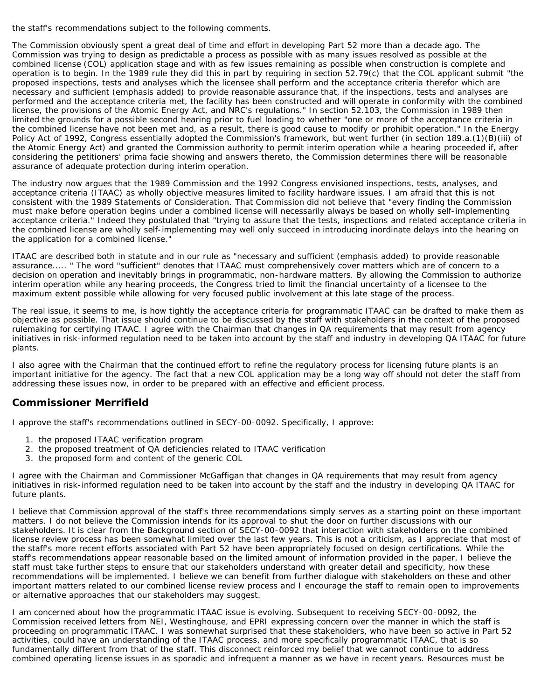the staff's recommendations subject to the following comments.

The Commission obviously spent a great deal of time and effort in developing Part 52 more than a decade ago. The Commission was trying to design as predictable a process as possible with as many issues resolved as possible at the combined license (COL) application stage and with as few issues remaining as possible when construction is complete and operation is to begin. In the 1989 rule they did this in part by requiring in section 52.79(c) that the COL applicant submit "the proposed inspections, tests and analyses which the licensee shall perform and the acceptance criteria therefor which are necessary and sufficient (emphasis added) to provide reasonable assurance that, if the inspections, tests and analyses are performed and the acceptance criteria met, the facility has been constructed and will operate in conformity with the combined license, the provisions of the Atomic Energy Act, and NRC's regulations." In section 52.103, the Commission in 1989 then limited the grounds for a possible second hearing prior to fuel loading to whether "one or more of the acceptance criteria in the combined license have not been met and, as a result, there is good cause to modify or prohibit operation." In the Energy Policy Act of 1992, Congress essentially adopted the Commission's framework, but went further (in section 189.a.(1)(B)(iii) of the Atomic Energy Act) and granted the Commission authority to permit interim operation while a hearing proceeded if, after considering the petitioners' prima facie showing and answers thereto, the Commission determines there will be reasonable assurance of adequate protection during interim operation.

The industry now argues that the 1989 Commission and the 1992 Congress envisioned inspections, tests, analyses, and acceptance criteria (ITAAC) as wholly objective measures limited to facility hardware issues. I am afraid that this is not consistent with the 1989 Statements of Consideration. That Commission did not believe that "every finding the Commission must make before operation begins under a combined license will necessarily always be based on wholly self-implementing acceptance criteria." Indeed they postulated that "trying to assure that the tests, inspections and related acceptance criteria in the combined license are wholly self-implementing may well only succeed in introducing inordinate delays into the hearing on the application for a combined license."

ITAAC are described both in statute and in our rule as "necessary and sufficient (emphasis added) to provide reasonable assurance..... " The word "sufficient" denotes that ITAAC must comprehensively cover matters which are of concern to a decision on operation and inevitably brings in programmatic, non-hardware matters. By allowing the Commission to authorize interim operation while any hearing proceeds, the Congress tried to limit the financial uncertainty of a licensee to the maximum extent possible while allowing for very focused public involvement at this late stage of the process.

The real issue, it seems to me, is how tightly the acceptance criteria for programmatic ITAAC can be drafted to make them as objective as possible. That issue should continue to be discussed by the staff with stakeholders in the context of the proposed rulemaking for certifying ITAAC. I agree with the Chairman that changes in QA requirements that may result from agency initiatives in risk-informed regulation need to be taken into account by the staff and industry in developing QA ITAAC for future plants.

I also agree with the Chairman that the continued effort to refine the regulatory process for licensing future plants is an important initiative for the agency. The fact that a new COL application may be a long way off should not deter the staff from addressing these issues now, in order to be prepared with an effective and efficient process.

# **Commissioner Merrifield**

I approve the staff's recommendations outlined in SECY-00-0092. Specifically, I approve:

- 1. the proposed ITAAC verification program
- 2. the proposed treatment of QA deficiencies related to ITAAC verification
- 3. the proposed form and content of the generic COL

I agree with the Chairman and Commissioner McGaffigan that changes in QA requirements that may result from agency initiatives in risk-informed regulation need to be taken into account by the staff and the industry in developing QA ITAAC for future plants.

I believe that Commission approval of the staff's three recommendations simply serves as a starting point on these important matters. I do not believe the Commission intends for its approval to shut the door on further discussions with our stakeholders. It is clear from the Background section of SECY-00-0092 that interaction with stakeholders on the combined license review process has been somewhat limited over the last few years. This is not a criticism, as I appreciate that most of the staff's more recent efforts associated with Part 52 have been appropriately focused on design certifications. While the staff's recommendations appear reasonable based on the limited amount of information provided in the paper, I believe the staff must take further steps to ensure that our stakeholders understand with greater detail and specificity, how these recommendations will be implemented. I believe we can benefit from further dialogue with stakeholders on these and other important matters related to our combined license review process and I encourage the staff to remain open to improvements or alternative approaches that our stakeholders may suggest.

I am concerned about how the programmatic ITAAC issue is evolving. Subsequent to receiving SECY-00-0092, the Commission received letters from NEI, Westinghouse, and EPRI expressing concern over the manner in which the staff is proceeding on programmatic ITAAC. I was somewhat surprised that these stakeholders, who have been so active in Part 52 activities, could have an understanding of the ITAAC process, and more specifically programmatic ITAAC, that is so fundamentally different from that of the staff. This disconnect reinforced my belief that we cannot continue to address combined operating license issues in as sporadic and infrequent a manner as we have in recent years. Resources must be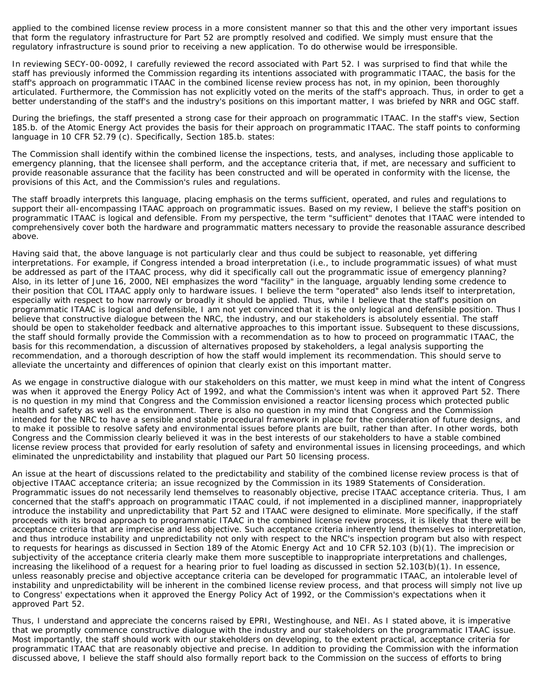applied to the combined license review process in a more consistent manner so that this and the other very important issues that form the regulatory infrastructure for Part 52 are promptly resolved and codified. We simply must ensure that the regulatory infrastructure is sound prior to receiving a new application. To do otherwise would be irresponsible.

In reviewing SECY-00-0092, I carefully reviewed the record associated with Part 52. I was surprised to find that while the staff has previously informed the Commission regarding its intentions associated with programmatic ITAAC, the basis for the staff's approach on programmatic ITAAC in the combined license review process has not, in my opinion, been thoroughly articulated. Furthermore, the Commission has not explicitly voted on the merits of the staff's approach. Thus, in order to get a better understanding of the staff's and the industry's positions on this important matter, I was briefed by NRR and OGC staff.

During the briefings, the staff presented a strong case for their approach on programmatic ITAAC. In the staff's view, Section 185.b. of the Atomic Energy Act provides the basis for their approach on programmatic ITAAC. The staff points to conforming language in 10 CFR 52.79 (c). Specifically, Section 185.b. states:

The Commission shall identify within the combined license the inspections, tests, and analyses, including those applicable to emergency planning, that the licensee shall perform, and the acceptance criteria that, if met, are necessary and sufficient to provide reasonable assurance that the facility has been constructed and will be operated in conformity with the license, the provisions of this Act, and the Commission's rules and regulations.

The staff broadly interprets this language, placing emphasis on the terms sufficient, operated, and rules and regulations to support their all-encompassing ITAAC approach on programmatic issues. Based on my review, I believe the staff's position on programmatic ITAAC is logical and defensible. From my perspective, the term "sufficient" denotes that ITAAC were intended to comprehensively cover both the hardware and programmatic matters necessary to provide the reasonable assurance described above.

Having said that, the above language is not particularly clear and thus could be subject to reasonable, yet differing interpretations. For example, if Congress intended a broad interpretation (i.e., to include programmatic issues) of what must be addressed as part of the ITAAC process, why did it specifically call out the programmatic issue of emergency planning? Also, in its letter of June 16, 2000, NEI emphasizes the word "facility" in the language, arguably lending some credence to their position that COL ITAAC apply only to hardware issues. I believe the term "operated" also lends itself to interpretation, especially with respect to how narrowly or broadly it should be applied. Thus, while I believe that the staff's position on programmatic ITAAC is logical and defensible, I am not yet convinced that it is the only logical and defensible position. Thus I believe that constructive dialogue between the NRC, the industry, and our stakeholders is absolutely essential. The staff should be open to stakeholder feedback and alternative approaches to this important issue. Subsequent to these discussions, the staff should formally provide the Commission with a recommendation as to how to proceed on programmatic ITAAC, the basis for this recommendation, a discussion of alternatives proposed by stakeholders, a legal analysis supporting the recommendation, and a thorough description of how the staff would implement its recommendation. This should serve to alleviate the uncertainty and differences of opinion that clearly exist on this important matter.

As we engage in constructive dialogue with our stakeholders on this matter, we must keep in mind what the intent of Congress was when it approved the Energy Policy Act of 1992, and what the Commission's intent was when it approved Part 52. There is no question in my mind that Congress and the Commission envisioned a reactor licensing process which protected public health and safety as well as the environment. There is also no question in my mind that Congress and the Commission intended for the NRC to have a sensible and stable procedural framework in place for the consideration of future designs, and to make it possible to resolve safety and environmental issues before plants are built, rather than after. In other words, both Congress and the Commission clearly believed it was in the best interests of our stakeholders to have a stable combined license review process that provided for early resolution of safety and environmental issues in licensing proceedings, and which eliminated the unpredictability and instability that plagued our Part 50 licensing process.

An issue at the heart of discussions related to the predictability and stability of the combined license review process is that of objective ITAAC acceptance criteria; an issue recognized by the Commission in its 1989 Statements of Consideration. Programmatic issues do not necessarily lend themselves to reasonably objective, precise ITAAC acceptance criteria. Thus, I am concerned that the staff's approach on programmatic ITAAC could, if not implemented in a disciplined manner, inappropriately introduce the instability and unpredictability that Part 52 and ITAAC were designed to eliminate. More specifically, if the staff proceeds with its broad approach to programmatic ITAAC in the combined license review process, it is likely that there will be acceptance criteria that are imprecise and less objective. Such acceptance criteria inherently lend themselves to interpretation, and thus introduce instability and unpredictability not only with respect to the NRC's inspection program but also with respect to requests for hearings as discussed in Section 189 of the Atomic Energy Act and 10 CFR 52.103 (b)(1). The imprecision or subjectivity of the acceptance criteria clearly make them more susceptible to inappropriate interpretations and challenges, increasing the likelihood of a request for a hearing prior to fuel loading as discussed in section 52.103(b)(1). In essence, unless reasonably precise and objective acceptance criteria can be developed for programmatic ITAAC, an intolerable level of instability and unpredictability will be inherent in the combined license review process, and that process will simply not live up to Congress' expectations when it approved the Energy Policy Act of 1992, or the Commission's expectations when it approved Part 52.

Thus, I understand and appreciate the concerns raised by EPRI, Westinghouse, and NEI. As I stated above, it is imperative that we promptly commence constructive dialogue with the industry and our stakeholders on the programmatic ITAAC issue. Most importantly, the staff should work with our stakeholders on developing, to the extent practical, acceptance criteria for programmatic ITAAC that are reasonably objective and precise. In addition to providing the Commission with the information discussed above, I believe the staff should also formally report back to the Commission on the success of efforts to bring